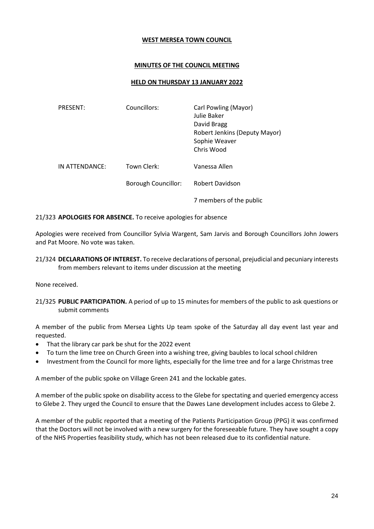### **WEST MERSEA TOWN COUNCIL**

### **MINUTES OF THE COUNCIL MEETING**

### **HELD ON THURSDAY 13 JANUARY 2022**

| PRESENT:       | Councillors:               | Carl Powling (Mayor)<br>Julie Baker<br>David Bragg<br>Robert Jenkins (Deputy Mayor)<br>Sophie Weaver<br>Chris Wood |
|----------------|----------------------------|--------------------------------------------------------------------------------------------------------------------|
| IN ATTENDANCE: | Town Clerk:                | Vanessa Allen                                                                                                      |
|                | <b>Borough Councillor:</b> | Robert Davidson                                                                                                    |
|                |                            | 7 members of the public                                                                                            |

#### 21/323 **APOLOGIES FOR ABSENCE.** To receive apologies for absence

Apologies were received from Councillor Sylvia Wargent, Sam Jarvis and Borough Councillors John Jowers and Pat Moore. No vote was taken.

21/324 **DECLARATIONS OF INTEREST.** To receive declarations of personal, prejudicial and pecuniary interests from members relevant to items under discussion at the meeting

None received.

21/325 **PUBLIC PARTICIPATION.** A period of up to 15 minutes for members of the public to ask questions or submit comments

A member of the public from Mersea Lights Up team spoke of the Saturday all day event last year and requested.

- That the library car park be shut for the 2022 event
- To turn the lime tree on Church Green into a wishing tree, giving baubles to local school children
- Investment from the Council for more lights, especially for the lime tree and for a large Christmas tree

A member of the public spoke on Village Green 241 and the lockable gates.

A member of the public spoke on disability access to the Glebe for spectating and queried emergency access to Glebe 2. They urged the Council to ensure that the Dawes Lane development includes access to Glebe 2.

A member of the public reported that a meeting of the Patients Participation Group (PPG) it was confirmed that the Doctors will not be involved with a new surgery for the foreseeable future. They have sought a copy of the NHS Properties feasibility study, which has not been released due to its confidential nature.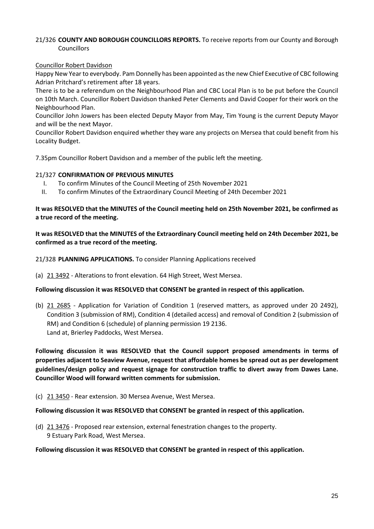# 21/326 **COUNTY AND BOROUGH COUNCILLORS REPORTS.** To receive reports from our County and Borough Councillors

### Councillor Robert Davidson

Happy New Year to everybody. Pam Donnelly has been appointed as the new Chief Executive of CBC following Adrian Pritchard's retirement after 18 years.

There is to be a referendum on the Neighbourhood Plan and CBC Local Plan is to be put before the Council on 10th March. Councillor Robert Davidson thanked Peter Clements and David Cooper for their work on the Neighbourhood Plan.

Councillor John Jowers has been elected Deputy Mayor from May, Tim Young is the current Deputy Mayor and will be the next Mayor.

Councillor Robert Davidson enquired whether they ware any projects on Mersea that could benefit from his Locality Budget.

7.35pm Councillor Robert Davidson and a member of the public left the meeting.

### 21/327 **CONFIRMATION OF PREVIOUS MINUTES**

- I. To confirm Minutes of the Council Meeting of 25th November 2021
- II. To confirm Minutes of the Extraordinary Council Meeting of 24th December 2021

# **It was RESOLVED that the MINUTES of the Council meeting held on 25th November 2021, be confirmed as a true record of the meeting.**

**It was RESOLVED that the MINUTES of the Extraordinary Council meeting held on 24th December 2021, be confirmed as a true record of the meeting.**

21/328 **PLANNING APPLICATIONS.** To consider Planning Applications received

(a) 21 3492 - Alterations to front elevation. 64 High Street, West Mersea.

### **Following discussion it was RESOLVED that CONSENT be granted in respect of this application.**

(b) 21 2685 - Application for Variation of Condition 1 (reserved matters, as approved under 20 2492), Condition 3 (submission of RM), Condition 4 (detailed access) and removal of Condition 2 (submission of RM) and Condition 6 (schedule) of planning permission 19 2136. Land at, Brierley Paddocks, West Mersea.

**Following discussion it was RESOLVED that the Council support proposed amendments in terms of properties adjacent to Seaview Avenue, request that affordable homes be spread out as per development guidelines/design policy and request signage for construction traffic to divert away from Dawes Lane. Councillor Wood will forward written comments for submission.** 

(c) 21 3450 - Rear extension. 30 Mersea Avenue, West Mersea.

**Following discussion it was RESOLVED that CONSENT be granted in respect of this application.** 

(d) 21 3476 - Proposed rear extension, external fenestration changes to the property. 9 Estuary Park Road, West Mersea.

### **Following discussion it was RESOLVED that CONSENT be granted in respect of this application.**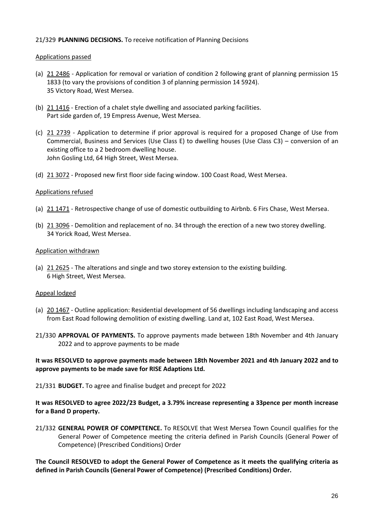# 21/329 **PLANNING DECISIONS.** To receive notification of Planning Decisions

### Applications passed

- (a) 21 2486 Application for removal or variation of condition 2 following grant of planning permission 15 1833 (to vary the provisions of condition 3 of planning permission 14 5924). 35 Victory Road, West Mersea.
- (b) 21 1416 Erection of a chalet style dwelling and associated parking facilities. Part side garden of, 19 Empress Avenue, West Mersea.
- (c) 21 2739 Application to determine if prior approval is required for a proposed Change of Use from Commercial, Business and Services (Use Class E) to dwelling houses (Use Class C3) – conversion of an existing office to a 2 bedroom dwelling house. John Gosling Ltd, 64 High Street, West Mersea.
- (d) 21 3072 Proposed new first floor side facing window. 100 Coast Road, West Mersea.

### Applications refused

- (a) 21 1471 Retrospective change of use of domestic outbuilding to Airbnb. 6 Firs Chase, West Mersea.
- (b) 21 3096 Demolition and replacement of no. 34 through the erection of a new two storey dwelling. 34 Yorick Road, West Mersea.

### Application withdrawn

(a) 21 2625 - The alterations and single and two storey extension to the existing building. 6 High Street, West Mersea.

### Appeal lodged

- (a) 20 1467 Outline application: Residential development of 56 dwellings including landscaping and access from East Road following demolition of existing dwelling. Land at, 102 East Road, West Mersea.
- 21/330 **APPROVAL OF PAYMENTS.** To approve payments made between 18th November and 4th January 2022 and to approve payments to be made

### **It was RESOLVED to approve payments made between 18th November 2021 and 4th January 2022 and to approve payments to be made save for RISE Adaptions Ltd.**

21/331 **BUDGET.** To agree and finalise budget and precept for 2022

# **It was RESOLVED to agree 2022/23 Budget, a 3.79% increase representing a 33pence per month increase for a Band D property.**

21/332 **GENERAL POWER OF COMPETENCE.** To RESOLVE that West Mersea Town Council qualifies for the General Power of Competence meeting the criteria defined in Parish Councils (General Power of Competence) (Prescribed Conditions) Order

**The Council RESOLVED to adopt the General Power of Competence as it meets the qualifying criteria as defined in Parish Councils (General Power of Competence) (Prescribed Conditions) Order.**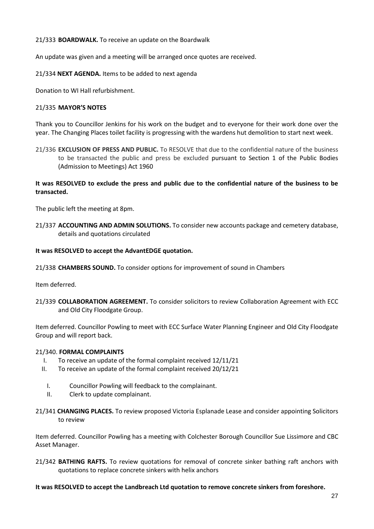21/333 **BOARDWALK.** To receive an update on the Boardwalk

An update was given and a meeting will be arranged once quotes are received.

21/334 **NEXT AGENDA.** Items to be added to next agenda

Donation to WI Hall refurbishment.

### 21/335 **MAYOR'S NOTES**

Thank you to Councillor Jenkins for his work on the budget and to everyone for their work done over the year. The Changing Places toilet facility is progressing with the wardens hut demolition to start next week.

21/336 **EXCLUSION OF PRESS AND PUBLIC.** To RESOLVE that due to the confidential nature of the business to be transacted the public and press be excluded pursuant to Section 1 of the Public Bodies (Admission to Meetings) Act 1960

# **It was RESOLVED to exclude the press and public due to the confidential nature of the business to be transacted.**

The public left the meeting at 8pm.

21/337 **ACCOUNTING AND ADMIN SOLUTIONS.** To consider new accounts package and cemetery database, details and quotations circulated

### **It was RESOLVED to accept the AdvantEDGE quotation.**

21/338 **CHAMBERS SOUND.** To consider options for improvement of sound in Chambers

Item deferred.

21/339 **COLLABORATION AGREEMENT.** To consider solicitors to review Collaboration Agreement with ECC and Old City Floodgate Group.

Item deferred. Councillor Powling to meet with ECC Surface Water Planning Engineer and Old City Floodgate Group and will report back.

### 21/340. **FORMAL COMPLAINTS**

- I. To receive an update of the formal complaint received 12/11/21
- II. To receive an update of the formal complaint received 20/12/21
	- I. Councillor Powling will feedback to the complainant.
	- II. Clerk to update complainant.
- 21/341 **CHANGING PLACES.** To review proposed Victoria Esplanade Lease and consider appointing Solicitors to review

Item deferred. Councillor Powling has a meeting with Colchester Borough Councillor Sue Lissimore and CBC Asset Manager.

21/342 **BATHING RAFTS.** To review quotations for removal of concrete sinker bathing raft anchors with quotations to replace concrete sinkers with helix anchors

### **It was RESOLVED to accept the Landbreach Ltd quotation to remove concrete sinkers from foreshore.**